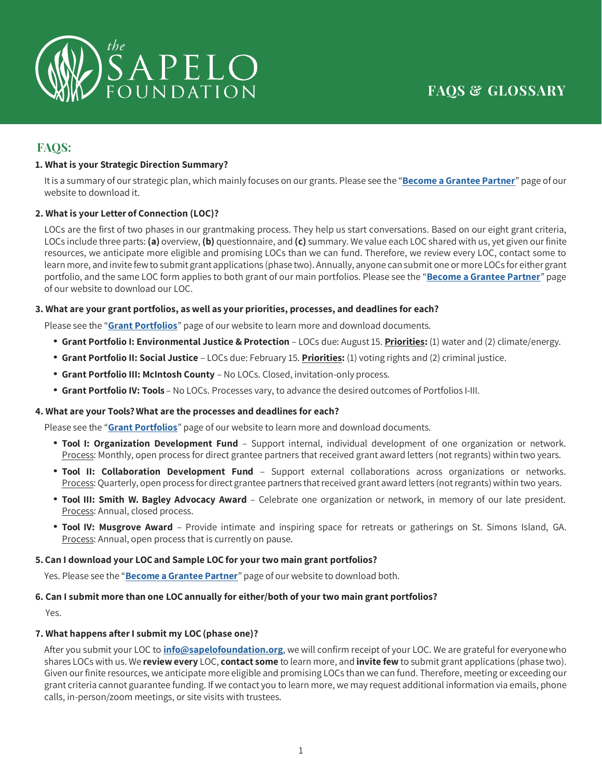

# **FAQS:**

## **1. What is your Strategic Direction Summary?**

It is a summary of our strategic plan, which mainly focuses on our grants. Please see the "**[Become](https://sapelofoundation.org/become-a-grantee-partner/) a Grantee Partner**" page of our website to download it.

#### **2. What is your Letter of Connection (LOC)?**

LOCs are the first of two phases in our grantmaking process. They help us start conversations. Based on our eight grant criteria, LOCs include three parts: **(a)** overview, **(b)** questionnaire, and **(c)** summary. We value each LOC shared with us, yet given our finite resources, we anticipate more eligible and promising LOCs than we can fund. Therefore, we review every LOC, contact some to learn more, and invite few to submit grant applications (phase two). Annually, anyone cansubmit one or more LOCs for either grant portfolio, and the same LOC form applies to both grant of our main portfolios. Please see the "**[Become a Grantee Partner](https://sapelofoundation.org/become-a-grantee-partner/)**" page of our website to download our LOC.

#### **3. What are your grant portfolios, as well as your priorities, processes, and deadlines for each?**

Please see the "**[Grant Portfolios](https://sapelofoundation.org/grant-portfolios/)**" page of our website to learn more and download documents.

- **Grant Portfolio I: Environmental Justice & Protection**  LOCs due: August 15. **Priorities:** (1) water and (2) climate/energy.
- **Grant Portfolio II: Social Justice**  LOCs due: February 15. **Priorities:** (1) voting rights and (2) criminal justice.
- **Grant Portfolio III: McIntosh County**  No LOCs. Closed, invitation-only process.
- **Grant Portfolio IV: Tools**  No LOCs. Processes vary, to advance the desired outcomes of Portfolios I-III.

#### **4. What are your Tools? What are the processes and deadlines for each?**

Please see the "**[Grant Portfolios](https://sapelofoundation.org/grant-portfolios/)**" page of our website to learn more and download documents.

- **Tool I: Organization Development Fund**  Support internal, individual development of one organization or network. Process: Monthly, open process for direct grantee partners that received grant award letters (not regrants) within two years.
- **Tool II: Collaboration Development Fund**  Support external collaborations across organizations or networks. Process: Quarterly, open process for direct grantee partners that received grant award letters (not regrants) within two years.
- **Tool III: Smith W. Bagley Advocacy Award**  Celebrate one organization or network, in memory of our late president. Process: Annual, closed process.
- **Tool IV: Musgrove Award**  Provide intimate and inspiring space for retreats or gatherings on St. Simons Island, GA. Process: Annual, open process that is currently on pause.

#### **5. Can I download your LOC and Sample LOC for your two main grant portfolios?**

Yes. Please see the "**[Become a Grantee Partner](https://sapelofoundation.org/become-a-grantee-partner/)**" page of our website to download both.

#### **6. Can I submit more than one LOC annually for either/both of your two main grant portfolios?**

Yes.

#### **7. What happens after I submit my LOC (phase one)?**

After you submit your LOC to **[info@sapelofoundation.org](mailto:info@sapelofoundation.org)**, we will confirm receipt of your LOC. We are grateful for everyonewho shares LOCs with us. We **review every** LOC, **contact some** to learn more, and **invite few** to submit grant applications (phase two). Given our finite resources, we anticipate more eligible and promising LOCs than we can fund. Therefore, meeting or exceeding our grant criteria cannot guarantee funding. If we contact you to learn more, we may request additional information via emails, phone calls, in-person/zoom meetings, or site visits with trustees.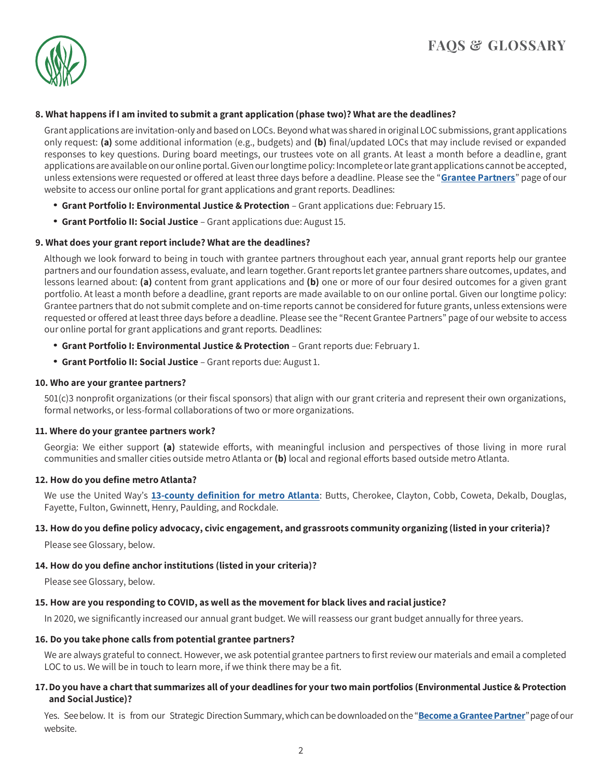

#### **8. What happens if I am invited to submit a grant application (phase two)? What are the deadlines?**

Grant applications are invitation-only and based on LOCs. Beyond what was shared in original LOC submissions, grant applications only request: **(a)** some additional information (e.g., budgets) and **(b)** final/updated LOCs that may include revised or expanded responses to key questions. During board meetings, our trustees vote on all grants. At least a month before a deadline, grant applications are available on our online portal. Given our longtime policy: Incomplete or late grant applications cannot be accepted, unless extensions were requested or offered at least three days before a deadline. Please see the "**[Grantee Partners](https://sapelofoundation.org/grantee-partners/)**" page of our website to access our online portal for grant applications and grant reports. Deadlines:

- **Grant Portfolio I: Environmental Justice & Protection**  Grant applications due: February 15.
- **Grant Portfolio II: Social Justice**  Grant applications due: August 15.

#### **9. What does your grant report include? What are the deadlines?**

Although we look forward to being in touch with grantee partners throughout each year, annual grant reports help our grantee partners and our foundation assess, evaluate, and learn together. Grant reports let grantee partners share outcomes, updates, and lessons learned about: **(a)** content from grant applications and **(b)** one or more of our four desired outcomes for a given grant portfolio. At least a month before a deadline, grant reports are made available to on our online portal. Given our longtime policy: Grantee partners that do not submit complete and on-time reports cannot be considered for future grants, unless extensions were requested or offered at least three days before a deadline. Please see the "Recent Grantee Partners" page of our website to access our online portal for grant applications and grant reports. Deadlines:

- **Grant Portfolio I: Environmental Justice & Protection**  Grant reports due: February 1.
- **Grant Portfolio II: Social Justice**  Grant reports due: August 1.

#### **10. Who are your grantee partners?**

501(c)3 nonprofit organizations (or their fiscal sponsors) that align with our grant criteria and represent their own organizations, formal networks, or less-formal collaborations of two or more organizations.

#### **11. Where do your grantee partners work?**

Georgia: We either support **(a)** statewide efforts, with meaningful inclusion and perspectives of those living in more rural communities and smaller cities outside metro Atlanta or **(b)** local and regional efforts based outside metro Atlanta.

#### **12. How do you define metro Atlanta?**

We use the United Way's **[13-county definition for metro Atlanta](https://www.unitedwayatlanta.org/counties/)**: Butts, Cherokee, Clayton, Cobb, Coweta, Dekalb, Douglas, Fayette, Fulton, Gwinnett, Henry, Paulding, and Rockdale.

## 13. How do you define policy advocacy, civic engagement, and grassroots community organizing (listed in your criteria)?

Please see Glossary, below.

## **14. How do you define anchor institutions (listed in your criteria)?**

Please see Glossary, below.

#### **15. How are you responding to COVID, as well as the movement for black lives and racial justice?**

In 2020, we significantly increased our annual grant budget. We will reassess our grant budget annually for three years.

#### **16. Do you take phone calls from potential grantee partners?**

We are always grateful to connect. However, we ask potential grantee partners to first review our materials and email a completed LOC to us. We will be in touch to learn more, if we think there may be a fit.

#### **17.Do you have a chartthat summarizes all of your deadlines for yourtwo main portfolios (Environmental Justice & Protection and SocialJustice)?**

Yes. See below. It is from our Strategic Direction Summary, which can be downloaded on the "**Become a Grantee Partner**" page of our website.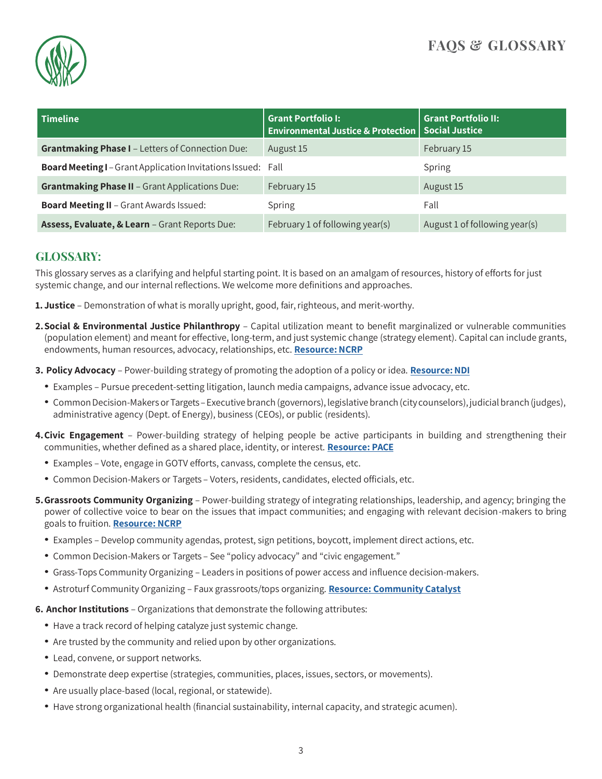

| <b>Timeline</b>                                                     | <b>Grant Portfolio I:</b><br><b>Environmental Justice &amp; Protection   Social Justice</b> | <b>Grant Portfolio II:</b>    |
|---------------------------------------------------------------------|---------------------------------------------------------------------------------------------|-------------------------------|
| <b>Grantmaking Phase I - Letters of Connection Due:</b>             | August 15                                                                                   | February 15                   |
| <b>Board Meeting I</b> - Grant Application Invitations Issued: Fall |                                                                                             | Spring                        |
| <b>Grantmaking Phase II - Grant Applications Due:</b>               | February 15                                                                                 | August 15                     |
| <b>Board Meeting II - Grant Awards Issued:</b>                      | Spring                                                                                      | Fall                          |
| Assess, Evaluate, & Learn - Grant Reports Due:                      | February 1 of following year(s)                                                             | August 1 of following year(s) |

## **GLOSSARY:**

This glossary serves as a clarifying and helpful starting point. It is based on an amalgam of resources, history of efforts for just systemic change, and our internal reflections. We welcome more definitions and approaches.

**1. Justice** – Demonstration of what is morally upright, good, fair, righteous, and merit-worthy.

- **2.Social & Environmental Justice Philanthropy**  Capital utilization meant to benefit marginalized or vulnerable communities (population element) and meant for effective, long-term, and just systemic change (strategy element). Capital can include grants, endowments, human resources, advocacy, relationships, etc. Resource: NCRP
- **3. Policy Advocacy**  Power-building strategy of promoting the adoption of a policy or idea. **[Resource:NDI](https://www.ncrp.org/wp-content/uploads/2016/11/LeveragingLimitedDollars.pdf)**
	- Examples Pursue precedent-setting litigation, launch media campaigns, advance issue advocacy, etc.
	- Common Decision-Makers or Targets Executive branch (governors), legislative branch (city counselors), judicial branch (judges), administrative agency (Dept. of Energy), business (CEOs), or public (residents).
- **4.Civic Engagement**  Power-building strategy of helping people be active participants in building and strengthening their communities, whether defined as a shared place, identity, or interest. **[Resource:](http://www.pacefunders.org/wp-content/uploads/2017/04/Civic-Engagement-Definition.pdf) PACE**
	- Examples Vote, engage in GOTV efforts, canvass, complete the census, etc.
	- Common Decision-Makers or Targets Voters, residents, candidates, elected officials, etc.
- **5.Grassroots Community Organizing**  Power-building strategy of integrating relationships, leadership, and agency; bringing the power of collective voice to bear on the issues that impact communities; and engaging with relevant decision-makers to bring goals to fruition. **[Resource:](https://www.ncrp.org/wp-content/uploads/2016/11/LeveragingLimitedDollars.pdf) NCRP**
	- Examples Develop community agendas, protest, sign petitions, boycott, implement direct actions, etc.
	- Common Decision-Makers or Targets See "policy advocacy" and "civic engagement."
	- Grass-Tops Community Organizing Leaders in positions of power access and influence decision-makers.
	- Astroturf Community Organizing Faux grassroots/tops organizing. **[Resource: Community](https://www.communitycatalyst.org/resources/tools/grassroots/more-about-astroturf) Catalyst**
- **6. Anchor Institutions**  Organizations that demonstrate the following attributes:
	- Have a track record of helping catalyze just systemic change.
	- Are trusted by the community and relied upon by other organizations.
	- Lead, convene, or support networks.
	- Demonstrate deep expertise (strategies, communities, places, issues, sectors, or movements).
	- Are usually place-based (local, regional, or statewide).
	- Have strong organizational health (financial sustainability, internal capacity, and strategic acumen).